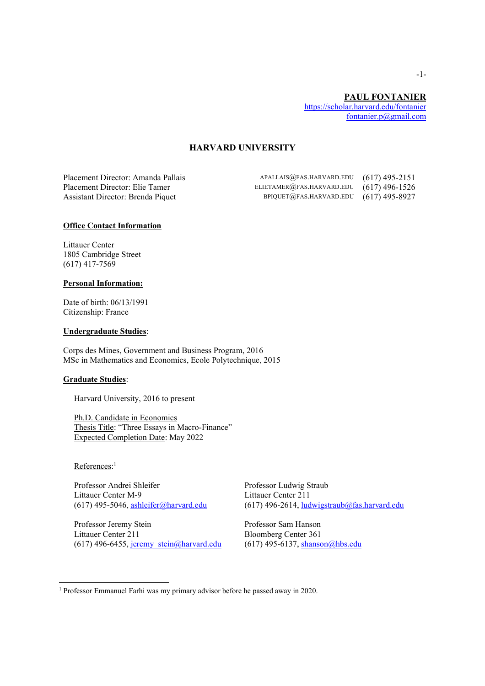## **HARVARD UNIVERSITY**

Placement Director: Amanda Pallais APALLAIS@FAS.HARVARD.EDU (617) 495-2151 Placement Director: Elie Tamer ELIETAMER@FAS.HARVARD.EDU (617) 496-1526 Assistant Director: Brenda Piquet BPIQUET@FAS.HARVARD.EDU (617) 495-8927

## **Office Contact Information**

Littauer Center 1805 Cambridge Street (617) 417-7569

#### **Personal Information:**

Date of birth: 06/13/1991 Citizenship: France

### **Undergraduate Studies**:

Corps des Mines, Government and Business Program, 2016 MSc in Mathematics and Economics, Ecole Polytechnique, 2015

### **Graduate Studies**:

Harvard University, 2016 to present

Ph.D. Candidate in Economics Thesis Title: "Three Essays in Macro-Finance" Expected Completion Date: May 2022

References:<sup>1</sup>

Professor Andrei Shleifer Professor Ludwig Straub<br>Littauer Center M-9<br>Littauer Center 211 Littauer Center M-9

Professor Jeremy Stein Professor Sam Hanson Littauer Center 211 Bloomberg Center 361 (617) 496-6455, jeremy stein@harvard.edu (617) 495-6137, shanson@hbs.edu

 $(617)$  495-5046, ashleifer@harvard.edu  $(617)$  496-2614, ludwigstraub@fas.harvard.edu

<sup>1</sup> Professor Emmanuel Farhi was my primary advisor before he passed away in 2020.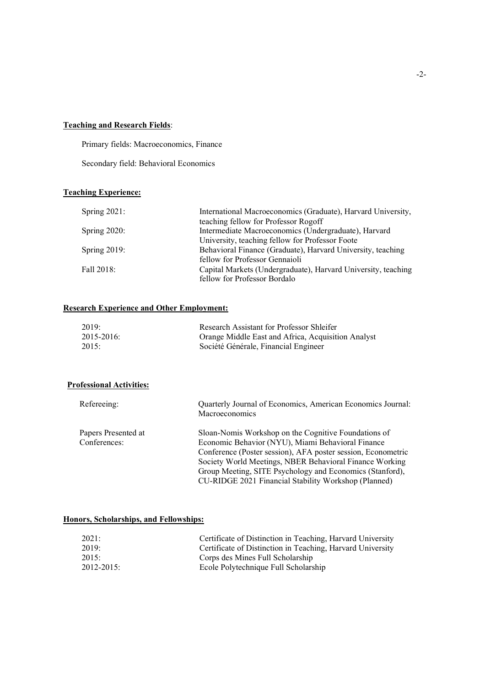## **Teaching and Research Fields**:

Primary fields: Macroeconomics, Finance

Secondary field: Behavioral Economics

# **Teaching Experience:**

| Spring $2021$ : | International Macroeconomics (Graduate), Harvard University,  |
|-----------------|---------------------------------------------------------------|
|                 | teaching fellow for Professor Rogoff                          |
| Spring $2020$ : | Intermediate Macroeconomics (Undergraduate), Harvard          |
|                 | University, teaching fellow for Professor Foote               |
| Spring $2019$ : | Behavioral Finance (Graduate), Harvard University, teaching   |
|                 | fellow for Professor Gennaioli                                |
| Fall 2018:      | Capital Markets (Undergraduate), Harvard University, teaching |
|                 | fellow for Professor Bordalo                                  |

## **Research Experience and Other Employment:**

| 2019:         | Research Assistant for Professor Shleifer          |
|---------------|----------------------------------------------------|
| $2015 - 2016$ | Orange Middle East and Africa, Acquisition Analyst |
| 2015:         | Société Générale, Financial Engineer               |

## **Professional Activities:**

| Quarterly Journal of Economics, American Economics Journal:<br>Macroeconomics                                    |
|------------------------------------------------------------------------------------------------------------------|
| Sloan-Nomis Workshop on the Cognitive Foundations of                                                             |
| Economic Behavior (NYU), Miami Behavioral Finance                                                                |
| Conference (Poster session), AFA poster session, Econometric                                                     |
| Society World Meetings, NBER Behavioral Finance Working                                                          |
| Group Meeting, SITE Psychology and Economics (Stanford),<br>CU-RIDGE 2021 Financial Stability Workshop (Planned) |
|                                                                                                                  |

## **Honors, Scholarships, and Fellowships:**

| 2021:         | Certificate of Distinction in Teaching, Harvard University |
|---------------|------------------------------------------------------------|
| 2019:         | Certificate of Distinction in Teaching, Harvard University |
| 2015          | Corps des Mines Full Scholarship                           |
| $2012 - 2015$ | Ecole Polytechnique Full Scholarship                       |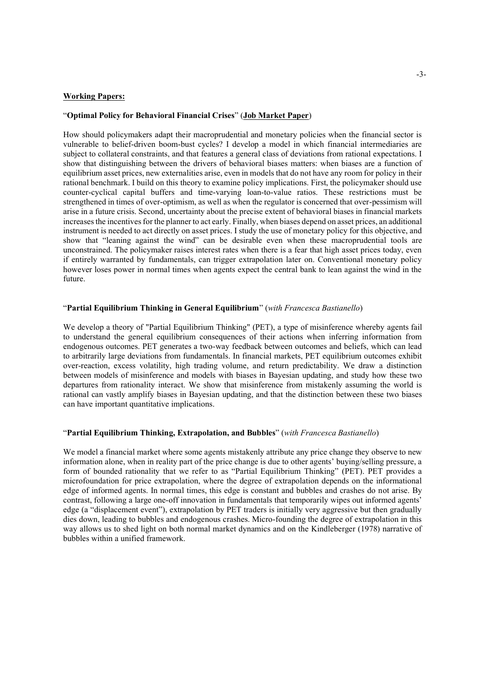### **Working Papers:**

### ³**Optimal Policy for Behavioral Financial Crises**´ (**Job Market Paper**)

How should policymakers adapt their macroprudential and monetary policies when the financial sector is vulnerable to belief-driven boom-bust cycles? I develop a model in which financial intermediaries are subject to collateral constraints, and that features a general class of deviations from rational expectations. I show that distinguishing between the drivers of behavioral biases matters: when biases are a function of equilibrium asset prices, new externalities arise, even in models that do not have any room for policy in their rational benchmark. I build on this theory to examine policy implications. First, the policymaker should use counter-cyclical capital buffers and time-varying loan-to-value ratios. These restrictions must be strengthened in times of over-optimism, as well as when the regulator is concerned that over-pessimism will arise in a future crisis. Second, uncertainty about the precise extent of behavioral biases in financial markets increases the incentives for the planner to act early. Finally, when biases depend on asset prices, an additional instrument is needed to act directly on asset prices. I study the use of monetary policy for this objective, and show that "leaning against the wind" can be desirable even when these macroprudential tools are unconstrained. The policymaker raises interest rates when there is a fear that high asset prices today, even if entirely warranted by fundamentals, can trigger extrapolation later on. Conventional monetary policy however loses power in normal times when agents expect the central bank to lean against the wind in the future.

## ³**Partial Equilibrium Thinking in General Equilibrium**´ (*with Francesca Bastianello*)

We develop a theory of "Partial Equilibrium Thinking" (PET), a type of misinference whereby agents fail to understand the general equilibrium consequences of their actions when inferring information from endogenous outcomes. PET generates a two-way feedback between outcomes and beliefs, which can lead to arbitrarily large deviations from fundamentals. In financial markets, PET equilibrium outcomes exhibit over-reaction, excess volatility, high trading volume, and return predictability. We draw a distinction between models of misinference and models with biases in Bayesian updating, and study how these two departures from rationality interact. We show that misinference from mistakenly assuming the world is rational can vastly amplify biases in Bayesian updating, and that the distinction between these two biases can have important quantitative implications.

## ³**Partial Equilibrium Thinking, Extrapolation, and Bubbles**´ (*with Francesca Bastianello*)

We model a financial market where some agents mistakenly attribute any price change they observe to new information alone, when in reality part of the price change is due to other agents' buying/selling pressure, a form of bounded rationality that we refer to as "Partial Equilibrium Thinking" (PET). PET provides a microfoundation for price extrapolation, where the degree of extrapolation depends on the informational edge of informed agents. In normal times, this edge is constant and bubbles and crashes do not arise. By contrast, following a large one-off innovation in fundamentals that temporarily wipes out informed agents' edge (a "displacement event"), extrapolation by PET traders is initially very aggressive but then gradually dies down, leading to bubbles and endogenous crashes. Micro-founding the degree of extrapolation in this way allows us to shed light on both normal market dynamics and on the Kindleberger (1978) narrative of bubbles within a unified framework.